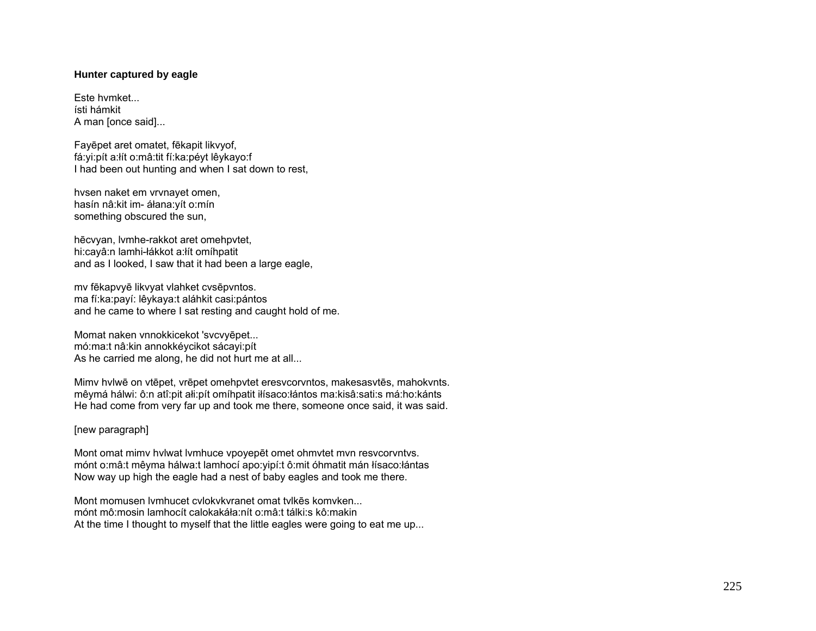## **Hunter captured by eagle**

Este hvmket... ísti hámkit A man [once said]...

Fayēpet aret omatet, fēkapit likvyof, fá:yi:pít a:łít o:mâ:tit fí:ka:péyt lêykayo:f I had been out hunting and when I sat down to rest,

hvsen naket em vrvnayet omen, hasín nâ:kit im- áłana:yít o:mín something obscured the sun,

hēcvyan, lvmhe-rakkot aret omehpvtet, hi:cayâ:n lamhi-łákkot a:łít omíhpatit and as I looked, I saw that it had been a large eagle,

mv fēkapvyē likvyat vlahket cvsēpvntos. ma fí:ka:payí: lêykaya:t aláhkit casi:pántos and he came to where I sat resting and caught hold of me.

Momat naken vnnokkicekot 'svcvyēpet... mó:ma:t nâ:kin annokkéycikot sácayi:pít As he carried me along, he did not hurt me at all...

Mimv hvlwē on vtēpet, vrēpet omehpvtet eresvcorvntos, makesasvtēs, mahokvnts. mêymá hálwi: ô:n atî:pit ałi:pít omíhpatit iłísaco:łántos ma:kisâ:sati:s má:ho:kánts He had come from very far up and took me there, someone once said, it was said.

## [new paragraph]

Mont omat mimv hvlwat lvmhuce vpoyepēt omet ohmvtet mvn resvcorvntvs. mónt o:mâ:t mêyma hálwa:t lamhocí apo:yipí:t ô:mit óhmatit mán łísaco:łántas Now way up high the eagle had a nest of baby eagles and took me there.

Mont momusen lvmhucet cvlokvkvranet omat tvlkēs komvken... mónt mô:mosin lamhocít calokakáła:nít o:mâ:t tálki:s kô:makin At the time I thought to myself that the little eagles were going to eat me up...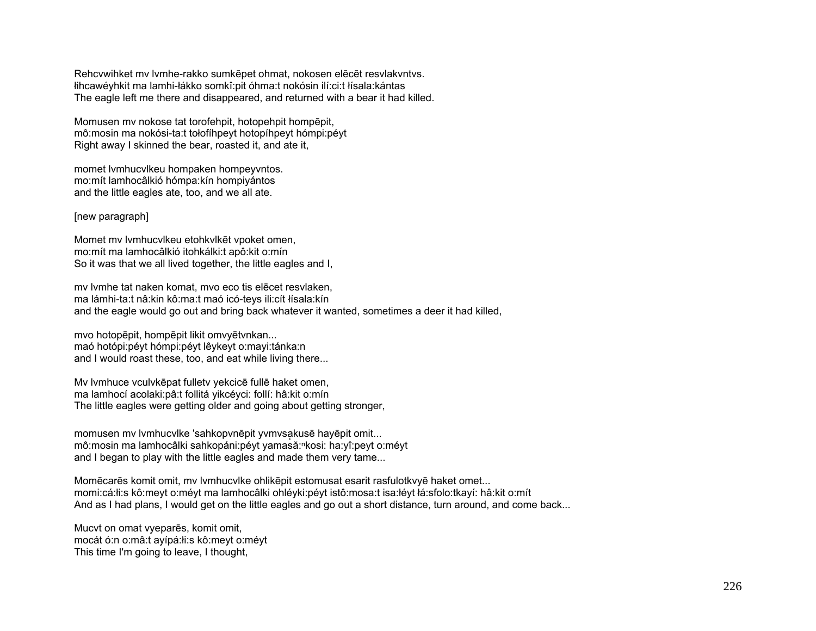Rehcvwihket mv lvmhe-rakko sumkēpet ohmat, nokosen elēcēt resvlakvntvs. łihcawéyhkit ma lamhi-łákko somkî:pit óhma:t nokósin ilí:ci:t łísala:kántas The eagle left me there and disappeared, and returned with a bear it had killed.

Momusen mv nokose tat torofehpit, hotopehpit hompēpit, mô:mosin ma nokósi-ta:t tołofíhpeyt hotopíhpeyt hómpi:péyt Right away I skinned the bear, roasted it, and ate it,

momet lvmhucvlkeu hompaken hompeyvntos. mo:mít lamhocâlkió hómpa:kín hompiyántos and the little eagles ate, too, and we all ate.

## [new paragraph]

Momet mv lvmhucvlkeu etohkvlkēt vpoket omen, mo:mít ma lamhocâlkió itohkálki:t apô:kit o:mín So it was that we all lived together, the little eagles and I,

mv lvmhe tat naken komat, mvo eco tis elēcet resvlaken, ma lámhi-ta:t nâ:kin kô:ma:t maó icó-teys ili:cít łísala:kín and the eagle would go out and bring back whatever it wanted, sometimes a deer it had killed,

mvo hotopēpit, hompēpit likit omvyētvnkan... maó hotópi:péyt hómpi:péyt lêykeyt o:mayi:tánka:n and I would roast these, too, and eat while living there...

Mv lvmhuce vculvkēpat fulletv yekcicē fullē haket omen, ma lamhocí acolaki:pâ:t follitá yikcéyci: follí: hâ:kit o:mín The little eagles were getting older and going about getting stronger,

momusen mv lvmhucvlke 'sahkopvnēpit yvmvsakusē hayēpit omit... mô:mosin ma lamhocâlki sahkopáni:péyt yamasă:<sup>n</sup>kosi: ha:yî:peyt o:méyt and I began to play with the little eagles and made them very tame...

Momēcarēs komit omit, mv lvmhucvlke ohlikēpit estomusat esarit rasfulotkvyē haket omet... momi:cá:łi:s kô:meyt o:méyt ma lamhocâlki ohléyki:péyt istô:mosa:t isa:łéyt łá:sfolo:tkayí: hâ:kit o:mít And as I had plans, I would get on the little eagles and go out a short distance, turn around, and come back...

Mucvt on omat vyeparēs, komit omit, mocát ó:n o:mâ:t ayípá:łi:s kô:meyt o:méyt This time I'm going to leave, I thought,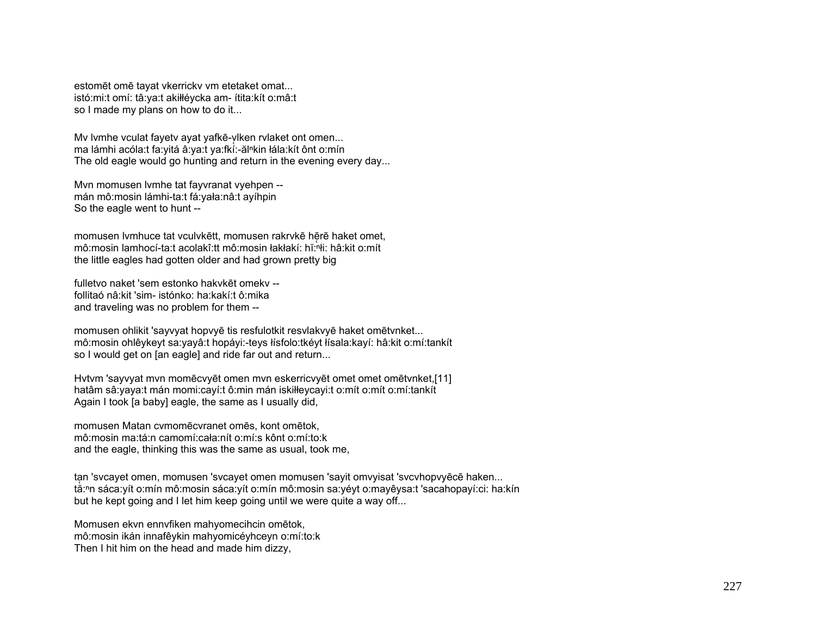estomēt omē tayat vkerrickv vm etetaket omat... istó:mi:t omí: tâ:ya:t akiłłéycka am- ítita:kít o:mâ:t so I made my plans on how to do it...

My lymhe vculat fayety ayat yafkē-viken rylaket ont omen... ma lámhi acóla:t fa:yitá â:ya:t ya:fkí:-ăl<sup>n</sup>kin łála:kít ônt o:mín The old eagle would go hunting and return in the evening every day...

Mvn momusen lvmhe tat fayvranat vyehpen - mán mô:mosin lámhi-ta:t fá:yała:nâ:t ayíhpin So the eagle went to hunt --

momusen lvmhuce tat vculvkētt, momusen rakrvkē hērē haket omet, mô:mosin lamhocí-ta:t acolakî:tt mô:mosin łakłakí: hĭ:ⁿłi: hâ:kit o:mít the little eagles had gotten older and had grown pretty big

fulletvo naket 'sem estonko hakvkēt omekv - follitaó nâ:kit 'sim- istónko: ha:kakí:t ô:mika and traveling was no problem for them --

momusen ohlikit 'sayvyat hopvyē tis resfulotkit resvlakvyē haket omētvnket... mô:mosin ohlêykeyt sa:yayâ:t hopáyi:-teys łísfolo:tkéyt łísala:kayí: hâ:kit o:mí:tankít so I would get on [an eagle] and ride far out and return...

Hvtvm 'sayvyat mvn momēcvyēt omen mvn eskerricvyēt omet omet omētvnket,[11] hatâm sâ:yaya:t mán momi:cayí:t ô:min mán iskiłłeycayi:t o:mít o:mít o:mí:tankít Again I took [a baby] eagle, the same as I usually did,

momusen Matan cvmomēcvranet omēs, kont omētok, mô:mosin ma:tá:n camomí:cała:nít o:mí:s kônt o:mí:to:k and the eagle, thinking this was the same as usual, took me,

tan 'svcayet omen, momusen 'svcayet omen momusen 'sayit omvyisat 'svcvhopvyēcē haken... tă:<sup>n</sup>n sáca:yít o:mín mô:mosin sáca:yít o:mín mô:mosin sa:yéyt o:mayêysa:t 'sacahopayí:ci: ha:kín but he kept going and I let him keep going until we were quite a way off...

Momusen ekvn ennvfiken mahyomecihcin omētok, mô:mosin ikán innafêykin mahyomicéyhceyn o:mí:to:k Then I hit him on the head and made him dizzy,